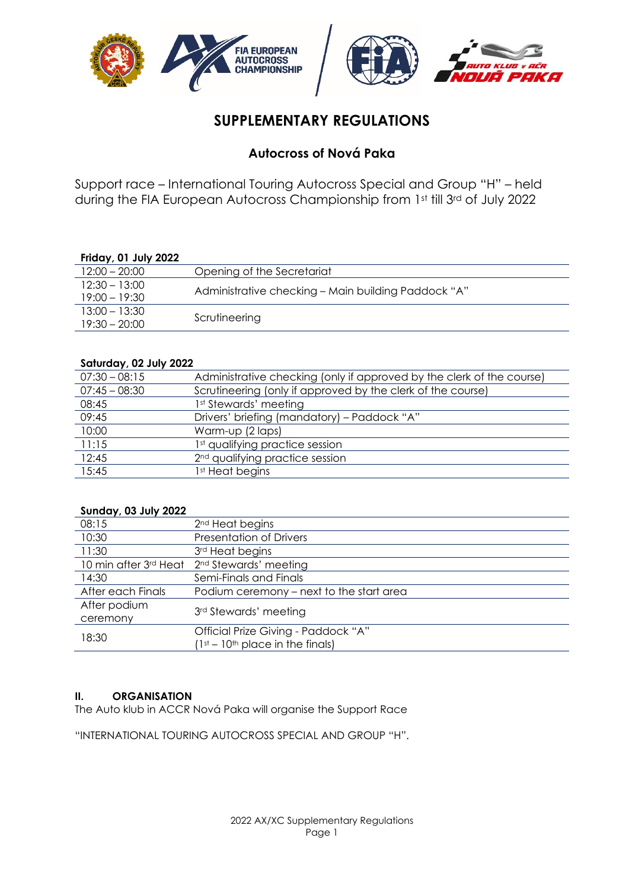

# **SUPPLEMENTARY REGULATIONS**

# **Autocross of Nová Paka**

Support race – International Touring Autocross Special and Group "H" – held during the FIA European Autocross Championship from 1st till 3rd of July 2022

# **Friday, 01 July 2022**

| $12:00 - 20:00$                    | Opening of the Secretariat                          |
|------------------------------------|-----------------------------------------------------|
| $12:30 - 13:00$<br>$19:00 - 19:30$ | Administrative checking - Main building Paddock "A" |
| $13:00 - 13:30$<br>$19:30 - 20:00$ | Scrutineering                                       |

#### **Saturday, 02 July 2022**

| Administrative checking (only if approved by the clerk of the course) |
|-----------------------------------------------------------------------|
| Scrutineering (only if approved by the clerk of the course)           |
| 1st Stewards' meeting                                                 |
| Drivers' briefing (mandatory) - Paddock "A"                           |
| Warm-up (2 laps)                                                      |
| 1st qualifying practice session                                       |
| 2 <sup>nd</sup> qualifying practice session                           |
| 1st Heat begins                                                       |
|                                                                       |

#### **Sunday, 03 July 2022**

| 08:15             | 2 <sup>nd</sup> Heat begins                 |
|-------------------|---------------------------------------------|
| 10:30             | Presentation of Drivers                     |
| 11:30             | 3rd Heat begins                             |
|                   | 10 min after 3rd Heat 2nd Stewards' meeting |
| 14:30             | Semi-Finals and Finals                      |
| After each Finals | Podium ceremony - next to the start area    |
| After podium      | 3rd Stewards' meeting                       |
| ceremony          |                                             |
| 18:30             | Official Prize Giving - Paddock "A"         |
|                   | $(1st - 10th$ place in the finals)          |

# **II. ORGANISATION**

The Auto klub in ACCR Nová Paka will organise the Support Race

"INTERNATIONAL TOURING AUTOCROSS SPECIAL AND GROUP "H".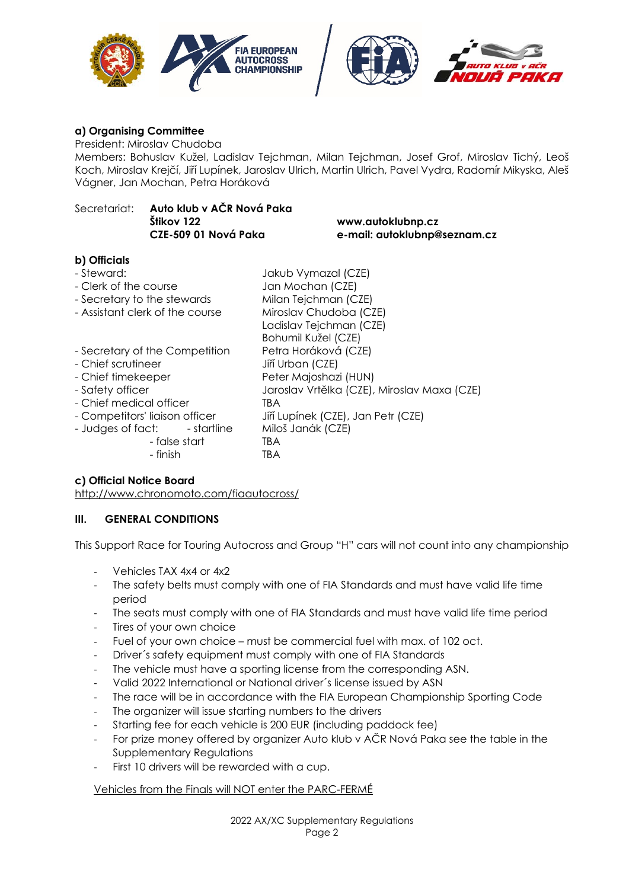





#### **a) Organising Committee**

President: Miroslav Chudoba

Members: Bohuslav Kužel, Ladislav Tejchman, Milan Tejchman, Josef Grof, Miroslav Tichý, Leoš Koch, Miroslav Krejčí, Jiří Lupínek, Jaroslav Ulrich, Martin Ulrich, Pavel Vydra, Radomír Mikyska, Aleš Vágner, Jan Mochan, Petra Horáková

# Secretariat: **Auto klub v AČR Nová Paka Štikov 122 www.autoklubnp.cz**

**CZE-509 01 Nová Paka e-mail: autoklubnp@seznam.cz** 

# **b) Officials**

| - Steward:<br>- Clerk of the course<br>- Secretary to the stewards<br>- Assistant clerk of the course                                                                                                                        | Jakub Vymazal (CZE)<br>Jan Mochan (CZE)<br>Milan Tejchman (CZE)<br>Miroslav Chudoba (CZE)                                                                                                               |
|------------------------------------------------------------------------------------------------------------------------------------------------------------------------------------------------------------------------------|---------------------------------------------------------------------------------------------------------------------------------------------------------------------------------------------------------|
|                                                                                                                                                                                                                              | Ladislav Tejchman (CZE)<br>Bohumil Kužel (CZE)                                                                                                                                                          |
| - Secretary of the Competition<br>- Chief scrutineer<br>- Chief timekeeper<br>- Safety officer<br>- Chief medical officer<br>- Competitors' liaison officer<br>- Judges of fact:<br>- startline<br>- false start<br>- finish | Petra Horáková (CZE)<br>Jiří Urban (CZE)<br>Peter Majoshazi (HUN)<br>Jaroslav Vrtělka (CZE), Miroslav Maxa (CZE)<br>TBA<br>Jiří Lupínek (CZE), Jan Petr (CZE)<br>Miloš Janák (CZE)<br><b>TBA</b><br>TBA |

# **c) Official Notice Board**

http://www.chronomoto.com/fiaautocross/

# **III. GENERAL CONDITIONS**

This Support Race for Touring Autocross and Group "H" cars will not count into any championship

- ‐ Vehicles TAX 4x4 or 4x2
- ‐ The safety belts must comply with one of FIA Standards and must have valid life time period
- The seats must comply with one of FIA Standards and must have valid life time period
- Tires of your own choice
- ‐ Fuel of your own choice must be commercial fuel with max. of 102 oct.
- ‐ Driver´s safety equipment must comply with one of FIA Standards
- The vehicle must have a sporting license from the corresponding ASN.
- ‐ Valid 2022 International or National driver´s license issued by ASN
- ‐ The race will be in accordance with the FIA European Championship Sporting Code
- The organizer will issue starting numbers to the drivers
- ‐ Starting fee for each vehicle is 200 EUR (including paddock fee)
- ‐ For prize money offered by organizer Auto klub v AČR Nová Paka see the table in the Supplementary Regulations
- ‐ First 10 drivers will be rewarded with a cup.

# Vehicles from the Finals will NOT enter the PARC-FERMÉ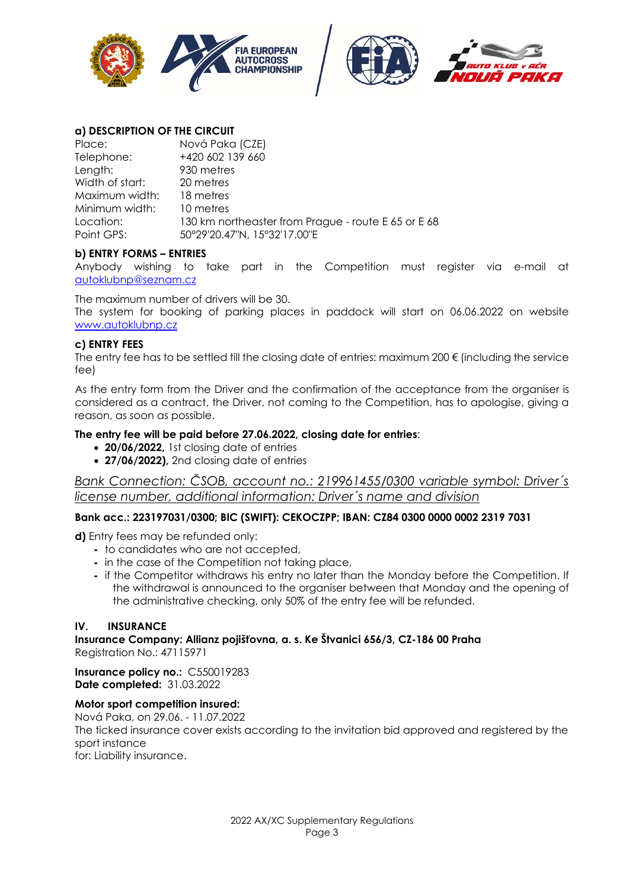





#### **a) DESCRIPTION OF THE CIRCUIT**

| Place:          | Nová Paka (CZE)                                     |
|-----------------|-----------------------------------------------------|
| Telephone:      | +420 602 139 660                                    |
| Length:         | 930 metres                                          |
| Width of start: | 20 metres                                           |
| Maximum width:  | 18 metres                                           |
| Minimum width:  | 10 metres                                           |
| Location:       | 130 km northeaster from Prague - route E 65 or E 68 |
| Point GPS:      | 50°29'20.47"N, 15°32'17.00"E                        |

#### **b) ENTRY FORMS – ENTRIES**

Anybody wishing to take part in the Competition must register via e-mail at autoklubnp@seznam.cz

The maximum number of drivers will be 30.

The system for booking of parking places in paddock will start on 06.06.2022 on website www.autoklubnp.cz

#### **c) ENTRY FEES**

The entry fee has to be settled till the closing date of entries: maximum 200  $\epsilon$  (including the service fee)

As the entry form from the Driver and the confirmation of the acceptance from the organiser is considered as a contract, the Driver, not coming to the Competition, has to apologise, giving a reason, as soon as possible.

#### **The entry fee will be paid before 27.06.2022, closing date for entries**:

- **20/06/2022,** 1st closing date of entries
- **27/06/2022),** 2nd closing date of entries

*Bank Connection: ČSOB, account no.: 219961455/0300 variable symbol: Driver´s license number, additional information: Driver´s name and division* 

# **Bank acc.: 223197031/0300; BIC (SWIFT): CEKOCZPP; IBAN: CZ84 0300 0000 0002 2319 7031**

**d)** Entry fees may be refunded only:

- to candidates who are not accepted,
- in the case of the Competition not taking place,
- if the Competitor withdraws his entry no later than the Monday before the Competition. If the withdrawal is announced to the organiser between that Monday and the opening of the administrative checking, only 50% of the entry fee will be refunded.

#### **IV. INSURANCE**

**Insurance Company: Allianz pojišťovna, a. s. Ke Štvanici 656/3, CZ-186 00 Praha**  Registration No.: 47115971

**Insurance policy no.:** C550019283 **Date completed:** 31.03.2022

#### **Motor sport competition insured:**

Nová Paka, on 29.06. - 11.07.2022 The ticked insurance cover exists according to the invitation bid approved and registered by the sport instance for: Liability insurance.